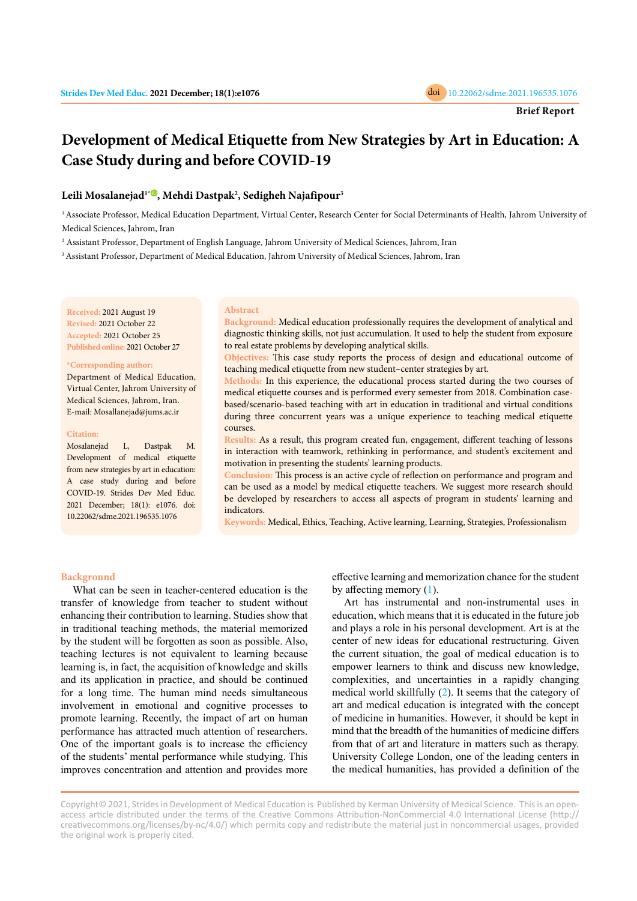

# **Development of Medical Etiquette from New Strategies by Art in Education: A Case Study during and before COVID-19**

## **Leili Mosalanejad1\* [,](https://orcid.org/0000-0003-2688-9664) Mehdi Dastpak<sup>2</sup> , Sedigheh Najafipour<sup>3</sup>**

<sup>1</sup> Associate Professor, Medical Education Department, Virtual Center, Research Center for Social Determinants of Health, Jahrom University of Medical Sciences, Jahrom, Iran

2 Assistant Professor, Department of English Language, Jahrom University of Medical Sciences, Jahrom, Iran

<sup>3</sup> Assistant Professor, Department of Medical Education, Jahrom University of Medical Sciences, Jahrom, Iran

**Received:** 2021 August 19 **Revised:** 2021 October 22 **Accepted:** 2021 October 25 **Published online:** 2021 October 27

#### **\*Corresponding author:**

Department of Medical Education, Virtual Center, Jahrom University of Medical Sciences, Jahrom, Iran. E-mail: Mosallanejad@jums.ac.ir

#### **Citation:**

Mosalanejad L, Dastpak M. Development of medical etiquette from new strategies by art in education: A case study during and before COVID-19. Strides Dev Med Educ. 2021 December; 18(1): e1076. doi: 10.22062/sdme.2021.196535.1076

#### **Abstract**

**Background:** Medical education professionally requires the development of analytical and diagnostic thinking skills, not just accumulation. It used to help the student from exposure to real estate problems by developing analytical skills.

**Objectives:** This case study reports the process of design and educational outcome of teaching medical etiquette from new student–center strategies by art.

**Methods:** In this experience, the educational process started during the two courses of medical etiquette courses and is performed every semester from 2018. Combination casebased/scenario-based teaching with art in education in traditional and virtual conditions during three concurrent years was a unique experience to teaching medical etiquette courses.

**Results:** As a result, this program created fun, engagement, different teaching of lessons in interaction with teamwork, rethinking in performance, and student's excitement and motivation in presenting the students' learning products.

**Conclusion:** This process is an active cycle of reflection on performance and program and can be used as a model by medical etiquette teachers. We suggest more research should be developed by researchers to access all aspects of program in students' learning and indicators.

**Keywords:** Medical, Ethics, Teaching, Active learning, Learning, Strategies, Professionalism

#### **Background**

What can be seen in teacher-centered education is the transfer of knowledge from teacher to student without enhancing their contribution to learning. Studies show that in traditional teaching methods, the material memorized by the student will be forgotten as soon as possible. Also, teaching lectures is not equivalent to learning because learning is, in fact, the acquisition of knowledge and skills and its application in practice, and should be continued for a long time. The human mind needs simultaneous involvement in emotional and cognitive processes to promote learning. Recently, the impact of art on human performance has attracted much attention of researchers. One of the important goals is to increase the efficiency of the students' mental performance while studying. This improves concentration and attention and provides more

effective learning and memorization chance for the student by affecting memory ([1](#page-3-0)).

Art has instrumental and non-instrumental uses in education, which means that it is educated in the future job and plays a role in his personal development. Art is at the center of new ideas for educational restructuring. Given the current situation, the goal of medical education is to empower learners to think and discuss new knowledge, complexities, and uncertainties in a rapidly changing medical world skillfully ([2](#page-3-0)). It seems that the category of art and medical education is integrated with the concept of medicine in humanities. However, it should be kept in mind that the breadth of the humanities of medicine differs from that of art and literature in matters such as therapy. University College London, one of the leading centers in the medical humanities, has provided a definition of the

Copyright© 2021, Strides in Development of Medical Education is Published by Kerman University of Medical Science. This is an openaccess article distributed under the terms of the Creative Commons Attribution-NonCommercial 4.0 International License (http:// creativecommons.org/licenses/by-nc/4.0/) which permits copy and redistribute the material just in noncommercial usages, provided the original work is properly cited.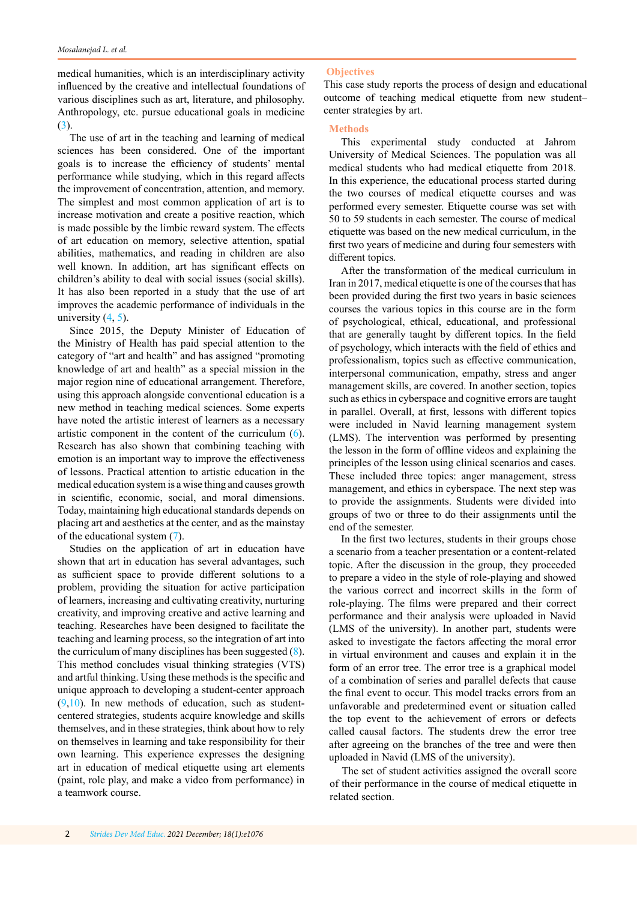medical humanities, which is an interdisciplinary activity influenced by the creative and intellectual foundations of various disciplines such as art, literature, and philosophy. Anthropology, etc. pursue educational goals in medicine ([3](#page-3-0)).

The use of art in the teaching and learning of medical sciences has been considered. One of the important goals is to increase the efficiency of students' mental performance while studying, which in this regard affects the improvement of concentration, attention, and memory. The simplest and most common application of art is to increase motivation and create a positive reaction, which is made possible by the limbic reward system. The effects of art education on memory, selective attention, spatial abilities, mathematics, and reading in children are also well known. In addition, art has significant effects on children's ability to deal with social issues (social skills). It has also been reported in a study that the use of art improves the academic performance of individuals in the university  $(4, 5)$  $(4, 5)$  $(4, 5)$  $(4, 5)$ .

Since 2015, the Deputy Minister of Education of the Ministry of Health has paid special attention to the category of "art and health" and has assigned "promoting knowledge of art and health" as a special mission in the major region nine of educational arrangement. Therefore, using this approach alongside conventional education is a new method in teaching medical sciences. Some experts have noted the artistic interest of learners as a necessary artistic component in the content of the curriculum ([6](#page-3-0)). Research has also shown that combining teaching with emotion is an important way to improve the effectiveness of lessons. Practical attention to artistic education in the medical education system is a wise thing and causes growth in scientific, economic, social, and moral dimensions. Today, maintaining high educational standards depends on placing art and aesthetics at the center, and as the mainstay of the educational system ([7\)](#page-3-0).

Studies on the application of art in education have shown that art in education has several advantages, such as sufficient space to provide different solutions to a problem, providing the situation for active participation of learners, increasing and cultivating creativity, nurturing creativity, and improving creative and active learning and teaching. Researches have been designed to facilitate the teaching and learning process, so the integration of art into the curriculum of many disciplines has been suggested ([8](#page-3-0)). This method concludes visual thinking strategies (VTS) and artful thinking. Using these methods is the specific and unique approach to developing a student-center approach  $(9,10)$  $(9,10)$  $(9,10)$  $(9,10)$ . In new methods of education, such as studentcentered strategies, students acquire knowledge and skills themselves, and in these strategies, think about how to rely on themselves in learning and take responsibility for their own learning. This experience expresses the designing art in education of medical etiquette using art elements (paint, role play, and make a video from performance) in a teamwork course.

### **Objectives**

This case study reports the process of design and educational outcome of teaching medical etiquette from new student– center strategies by art.

## **Methods**

This experimental study conducted at Jahrom University of Medical Sciences. The population was all medical students who had medical etiquette from 2018. In this experience, the educational process started during the two courses of medical etiquette courses and was performed every semester. Etiquette course was set with 50 to 59 students in each semester. The course of medical etiquette was based on the new medical curriculum, in the first two years of medicine and during four semesters with different topics.

After the transformation of the medical curriculum in Iran in 2017, medical etiquette is one of the courses that has been provided during the first two years in basic sciences courses the various topics in this course are in the form of psychological, ethical, educational, and professional that are generally taught by different topics. In the field of psychology, which interacts with the field of ethics and professionalism, topics such as effective communication, interpersonal communication, empathy, stress and anger management skills, are covered. In another section, topics such as ethics in cyberspace and cognitive errors are taught in parallel. Overall, at first, lessons with different topics were included in Navid learning management system (LMS). The intervention was performed by presenting the lesson in the form of offline videos and explaining the principles of the lesson using clinical scenarios and cases. These included three topics: anger management, stress management, and ethics in cyberspace. The next step was to provide the assignments. Students were divided into groups of two or three to do their assignments until the end of the semester.

In the first two lectures, students in their groups chose a scenario from a teacher presentation or a content-related topic. After the discussion in the group, they proceeded to prepare a video in the style of role-playing and showed the various correct and incorrect skills in the form of role-playing. The films were prepared and their correct performance and their analysis were uploaded in Navid (LMS of the university). In another part, students were asked to investigate the factors affecting the moral error in virtual environment and causes and explain it in the form of an error tree. The error tree is a graphical model of a combination of series and parallel defects that cause the final event to occur. This model tracks errors from an unfavorable and predetermined event or situation called the top event to the achievement of errors or defects called causal factors. The students drew the error tree after agreeing on the branches of the tree and were then uploaded in Navid (LMS of the university).

The set of student activities assigned the overall score of their performance in the course of medical etiquette in related section.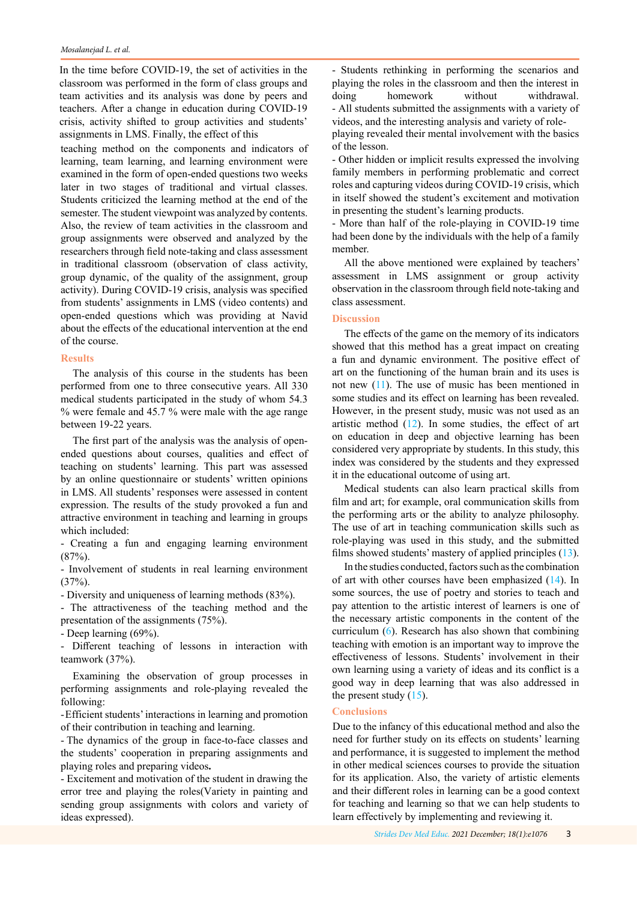#### *Mosalanejad L. et al.*

In the time before COVID-19, the set of activities in the classroom was performed in the form of class groups and team activities and its analysis was done by peers and teachers. After a change in education during COVID-19 crisis, activity shifted to group activities and students' assignments in LMS. Finally, the effect of this

teaching method on the components and indicators of learning, team learning, and learning environment were examined in the form of open-ended questions two weeks later in two stages of traditional and virtual classes. Students criticized the learning method at the end of the semester. The student viewpoint was analyzed by contents. Also, the review of team activities in the classroom and group assignments were observed and analyzed by the researchers through field note-taking and class assessment in traditional classroom (observation of class activity, group dynamic, of the quality of the assignment, group activity). During COVID-19 crisis, analysis was specified from students' assignments in LMS (video contents) and open-ended questions which was providing at Navid about the effects of the educational intervention at the end of the course.

## **Results**

The analysis of this course in the students has been performed from one to three consecutive years. All 330 medical students participated in the study of whom 54.3 % were female and 45.7 % were male with the age range between 19-22 years.

The first part of the analysis was the analysis of openended questions about courses, qualities and effect of teaching on students' learning. This part was assessed by an online questionnaire or students' written opinions in LMS. All students' responses were assessed in content expression. The results of the study provoked a fun and attractive environment in teaching and learning in groups which included:

- Creating a fun and engaging learning environment (87%).

- Involvement of students in real learning environment (37%).

- Diversity and uniqueness of learning methods (83%).

- The attractiveness of the teaching method and the presentation of the assignments (75%).

- Deep learning (69%).

- Different teaching of lessons in interaction with teamwork (37%).

Examining the observation of group processes in performing assignments and role-playing revealed the following:

-Efficient students' interactions in learning and promotion of their contribution in teaching and learning.

- The dynamics of the group in face-to-face classes and the students' cooperation in preparing assignments and playing roles and preparing videos**.**

- Excitement and motivation of the student in drawing the error tree and playing the roles(Variety in painting and sending group assignments with colors and variety of ideas expressed).

playing revealed their mental involvement with the basics of the lesson. - Students rethinking in performing the scenarios and playing the roles in the classroom and then the interest in doing homework without withdrawal. - All students submitted the assignments with a variety of videos, and the interesting analysis and variety of role-

- Other hidden or implicit results expressed the involving family members in performing problematic and correct roles and capturing videos during COVID-19 crisis, which in itself showed the student's excitement and motivation in presenting the student's learning products.

- More than half of the role-playing in COVID-19 time had been done by the individuals with the help of a family member.

All the above mentioned were explained by teachers' assessment in LMS assignment or group activity observation in the classroom through field note-taking and class assessment.

## **Discussion**

The eff[ect](#page-3-0)s of the game on the memory of its indicators showed that this method has a great impact on creating a fun and dynamic environment. The positive effect of art on the functi[onin](#page-3-0)g of the human brain and its uses is not new (11). The use of music has been mentioned in some studies and its effect on learning has been revealed. However, in the present study, music was not used as an artistic method  $(12)$ . In some studies, the effect of art on education in deep and objective learning has been considered very appropriate by students. In this study, this index was considered by the students and they expressed it in the educational outcome of using art.

Medical students can also learn practical skills from film and art; for example, oral communication skills f[rom](#page-3-0) the performing arts or the ability to analyze philosophy. The use of art in teaching communication skills [suc](#page-3-0)h as role-playing was used in this study, and the submitted films showed students' mastery of applied principles (13).

In the stu[die](#page-3-0)s conducted, factors such as the combination of art with other courses have been emphasized (14). In some sources, the use of poetry and stories to teach and pay attention to the artistic interest of learners is one of the necessary artistic components in the content of the curriculum (6[\). Rese](#page-3-0)arch has also shown that combining teaching with emotion is an important way to improve the effectiveness of lessons. Students' involvement in their own learning using a variety of ideas and its conflict is a good way in deep learning that was also addressed in the present study  $(15)$ .

## **Conclusions**

Due to the infancy of this educational method and also the need for further study on its effects on students' learning and performance, it is suggested to implement the method in other medical sciences courses to provide the situation for its application. Also, the variety of artistic elements and their different roles in learning can be a good context for teaching and learning so that we can help students to learn effectively by implementing and reviewing it.